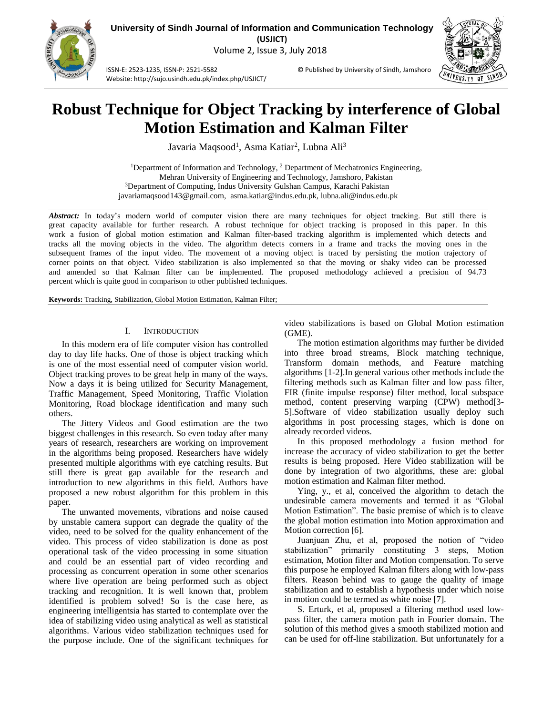Volume 2, Issue 3, July 2018

ISSN-E: 2523-1235, ISSN-P: 2521-5582 © Published by University of Sindh, Jamshoro Website: http://sujo.usindh.edu.pk/index.php/USJICT/



# **Robust Technique for Object Tracking by interference of Global Motion Estimation and Kalman Filter**

Javaria Maqsood<sup>1</sup>, Asma Katiar<sup>2</sup>, Lubna Ali<sup>3</sup>

<sup>1</sup>Department of Information and Technology, <sup>2</sup> Department of Mechatronics Engineering, Mehran University of Engineering and Technology, Jamshoro, Pakistan <sup>3</sup>Department of Computing, Indus University Gulshan Campus, Karachi Pakistan javariamaqsood143@gmail.com, asma.katiar@indus.edu.pk, lubna.ali@indus.edu.pk

*Abstract:* In today's modern world of computer vision there are many techniques for object tracking. But still there is great capacity available for further research. A robust technique for object tracking is proposed in this paper. In this work a fusion of global motion estimation and Kalman filter-based tracking algorithm is implemented which detects and tracks all the moving objects in the video. The algorithm detects corners in a frame and tracks the moving ones in the subsequent frames of the input video. The movement of a moving object is traced by persisting the motion trajectory of corner points on that object. Video stabilization is also implemented so that the moving or shaky video can be processed and amended so that Kalman filter can be implemented. The proposed methodology achieved a precision of 94.73 percent which is quite good in comparison to other published techniques.

**Keywords:** Tracking, Stabilization, Global Motion Estimation, Kalman Filter;

# I. INTRODUCTION

In this modern era of life computer vision has controlled day to day life hacks. One of those is object tracking which is one of the most essential need of computer vision world. Object tracking proves to be great help in many of the ways. Now a days it is being utilized for Security Management, Traffic Management, Speed Monitoring, Traffic Violation Monitoring, Road blockage identification and many such others.

The Jittery Videos and Good estimation are the two biggest challenges in this research. So even today after many years of research, researchers are working on improvement in the algorithms being proposed. Researchers have widely presented multiple algorithms with eye catching results. But still there is great gap available for the research and introduction to new algorithms in this field. Authors have proposed a new robust algorithm for this problem in this paper.

The unwanted movements, vibrations and noise caused by unstable camera support can degrade the quality of the video, need to be solved for the quality enhancement of the video. This process of video stabilization is done as post operational task of the video processing in some situation and could be an essential part of video recording and processing as concurrent operation in some other scenarios where live operation are being performed such as object tracking and recognition. It is well known that, problem identified is problem solved! So is the case here, as engineering intelligentsia has started to contemplate over the idea of stabilizing video using analytical as well as statistical algorithms. Various video stabilization techniques used for the purpose include. One of the significant techniques for

video stabilizations is based on Global Motion estimation (GME).

The motion estimation algorithms may further be divided into three broad streams, Block matching technique, Transform domain methods, and Feature matching algorithms [1-2].In general various other methods include the filtering methods such as Kalman filter and low pass filter, FIR (finite impulse response) filter method, local subspace method, content preserving warping (CPW) method[3- 5].Software of video stabilization usually deploy such algorithms in post processing stages, which is done on already recorded videos.

In this proposed methodology a fusion method for increase the accuracy of video stabilization to get the better results is being proposed. Here Video stabilization will be done by integration of two algorithms, these are: global motion estimation and Kalman filter method.

Ying, y., et al, conceived the algorithm to detach the undesirable camera movements and termed it as "Global Motion Estimation". The basic premise of which is to cleave the global motion estimation into Motion approximation and Motion correction [6].

Juanjuan Zhu, et al, proposed the notion of "video stabilization" primarily constituting 3 steps, Motion estimation, Motion filter and Motion compensation. To serve this purpose he employed Kalman filters along with low-pass filters. Reason behind was to gauge the quality of image stabilization and to establish a hypothesis under which noise in motion could be termed as white noise [7].

S. Erturk, et al, proposed a filtering method used lowpass filter, the camera motion path in Fourier domain. The solution of this method gives a smooth stabilized motion and can be used for off-line stabilization. But unfortunately for a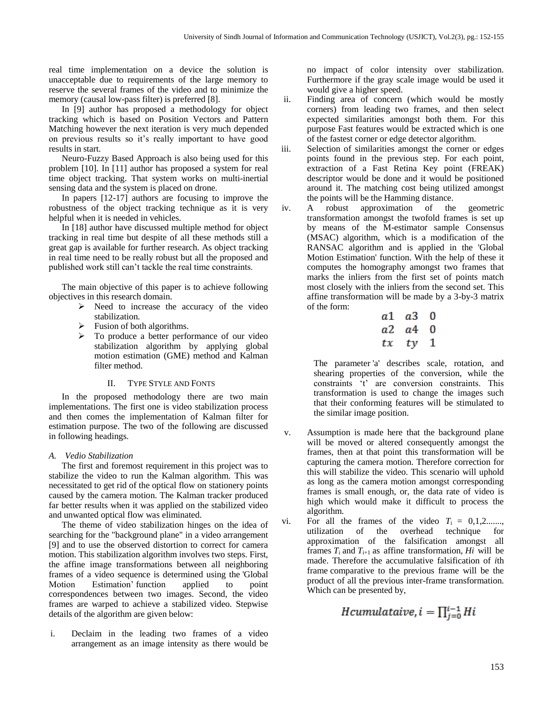real time implementation on a device the solution is unacceptable due to requirements of the large memory to reserve the several frames of the video and to minimize the memory (causal low-pass filter) is preferred [8].

In [9] author has proposed a methodology for object tracking which is based on Position Vectors and Pattern Matching however the next iteration is very much depended on previous results so it's really important to have good results in start.

Neuro-Fuzzy Based Approach is also being used for this problem [10]. In [11] author has proposed a system for real time object tracking. That system works on multi-inertial sensing data and the system is placed on drone.

In papers [12-17] authors are focusing to improve the robustness of the object tracking technique as it is very helpful when it is needed in vehicles.

In [18] author have discussed multiple method for object tracking in real time but despite of all these methods still a great gap is available for further research. As object tracking in real time need to be really robust but all the proposed and published work still can't tackle the real time constraints.

The main objective of this paper is to achieve following objectives in this research domain.

- $\triangleright$  Need to increase the accuracy of the video stabilization.
- $\triangleright$  Fusion of both algorithms.
- $\triangleright$  To produce a better performance of our video stabilization algorithm by applying global motion estimation (GME) method and Kalman filter method.

# II. TYPE STYLE AND FONTS

In the proposed methodology there are two main implementations. The first one is video stabilization process and then comes the implementation of Kalman filter for estimation purpose. The two of the following are discussed in following headings.

# *A. Vedio Stabilization*

The first and foremost requirement in this project was to stabilize the video to run the Kalman algorithm. This was necessitated to get rid of the optical flow on stationery points caused by the camera motion. The Kalman tracker produced far better results when it was applied on the stabilized video and unwanted optical flow was eliminated.

The theme of video stabilization hinges on the idea of searching for the "background plane" in a video arrangement [9] and to use the observed distortion to correct for camera motion. This stabilization algorithm involves two steps. First, the affine image transformations between all neighboring frames of a video sequence is determined using the 'Global Motion Estimation' function applied to point correspondences between two images. Second, the video frames are warped to achieve a stabilized video. Stepwise details of the algorithm are given below:

i. Declaim in the leading two frames of a video arrangement as an image intensity as there would be

no impact of color intensity over stabilization. Furthermore if the gray scale image would be used it would give a higher speed.

- ii. Finding area of concern (which would be mostly corners) from leading two frames, and then select expected similarities amongst both them. For this purpose Fast features would be extracted which is one of the fastest corner or edge detector algorithm.
- iii. Selection of similarities amongst the corner or edges points found in the previous step. For each point, extraction of a Fast Retina Key point (FREAK) descriptor would be done and it would be positioned around it. The matching cost being utilized amongst the points will be the Hamming distance.
- iv. A robust approximation of the geometric transformation amongst the twofold frames is set up by means of the M-estimator sample Consensus (MSAC) algorithm, which is a modification of the RANSAC algorithm and is applied in the 'Global Motion Estimation' function. With the help of these it computes the homography amongst two frames that marks the inliers from the first set of points match most closely with the inliers from the second set. This affine transformation will be made by a 3-by-3 matrix of the form:

|    | $a1 \quad a3 \quad 0$ |          |
|----|-----------------------|----------|
|    | a2 a4                 | $\bf{0}$ |
| tx | tγ                    | - 1      |

The parameter 'a' describes scale, rotation, and shearing properties of the conversion, while the constraints 't' are conversion constraints. This transformation is used to change the images such that their conforming features will be stimulated to the similar image position.

- v. Assumption is made here that the background plane will be moved or altered consequently amongst the frames, then at that point this transformation will be capturing the camera motion. Therefore correction for this will stabilize the video. This scenario will uphold as long as the camera motion amongst corresponding frames is small enough, or, the data rate of video is high which would make it difficult to process the algorithm.
- vi. For all the frames of the video  $T_i = 0,1,2,...,$ utilization of the overhead technique for approximation of the falsification amongst all frames  $T_i$  and  $T_{i+1}$  as affine transformation,  $Hi$  will be made. Therefore the accumulative falsification of *i*th frame comparative to the previous frame will be the product of all the previous inter-frame transformation. Which can be presented by,

Hcumulataive, 
$$
i = \prod_{i=0}^{i-1} Hi
$$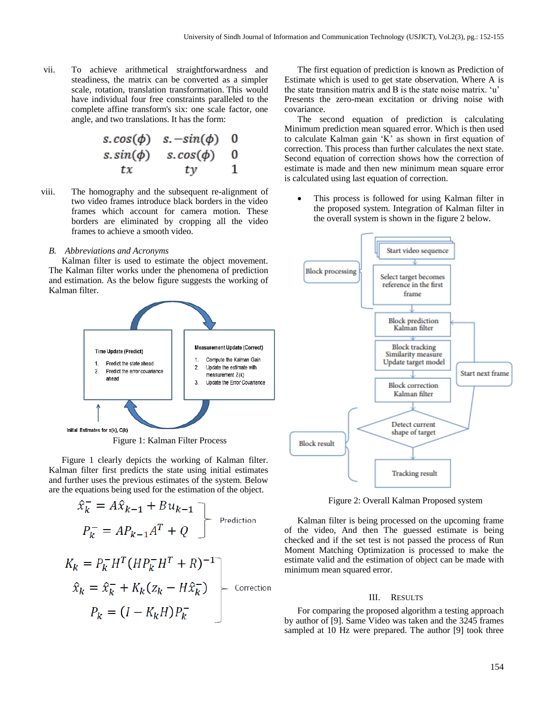vii. To achieve arithmetical straightforwardness and steadiness, the matrix can be converted as a simpler scale, rotation, translation transformation. This would have individual four free constraints paralleled to the complete affine transform's six: one scale factor, one angle, and two translations. It has the form:

$$
s.\cos(\phi) \quad s.-\sin(\phi) \quad 0
$$
  

$$
s.\sin(\phi) \quad s.\cos(\phi) \quad 0
$$
  

$$
tx \quad ty \quad 1
$$

viii. The homography and the subsequent re-alignment of two video frames introduce black borders in the video frames which account for camera motion. These borders are eliminated by cropping all the video frames to achieve a smooth video.

## *B. Abbreviations and Acronyms*

Kalman filter is used to estimate the object movement. The Kalman filter works under the phenomena of prediction and estimation. As the below figure suggests the working of Kalman filter.



Figure 1: Kalman Filter Process

Figure 1 clearly depicts the working of Kalman filter. Kalman filter first predicts the state using initial estimates and further uses the previous estimates of the system. Below are the equations being used for the estimation of the object.

$$
\hat{x}_k^- = A\hat{x}_{k-1} + Bu_{k-1}
$$
\n
$$
P_k^- = AP_{k-1}A^T + Q
$$
\nPrediction\n
$$
K_k = P_k^- H^T (HP_k^- H^T + R)^{-1}
$$
\n
$$
\hat{x}_k = \hat{x}_k^- + K_k (z_k - H\hat{x}_k^-)
$$
\nCorrection\n
$$
P_k = (I - K_k H)P_k^-
$$

The first equation of prediction is known as Prediction of Estimate which is used to get state observation. Where A is the state transition matrix and B is the state noise matrix. 'u' Presents the zero-mean excitation or driving noise with covariance.

The second equation of prediction is calculating Minimum prediction mean squared error. Which is then used to calculate Kalman gain 'K' as shown in first equation of correction. This process than further calculates the next state. Second equation of correction shows how the correction of estimate is made and then new minimum mean square error is calculated using last equation of correction.

 This process is followed for using Kalman filter in the proposed system. Integration of Kalman filter in the overall system is shown in the figure 2 below.



Figure 2: Overall Kalman Proposed system

Kalman filter is being processed on the upcoming frame of the video, And then The guessed estimate is being checked and if the set test is not passed the process of Run Moment Matching Optimization is processed to make the estimate valid and the estimation of object can be made with minimum mean squared error.

### III. RESULTS

For comparing the proposed algorithm a testing approach by author of [9]. Same Video was taken and the 3245 frames sampled at 10 Hz were prepared. The author [9] took three